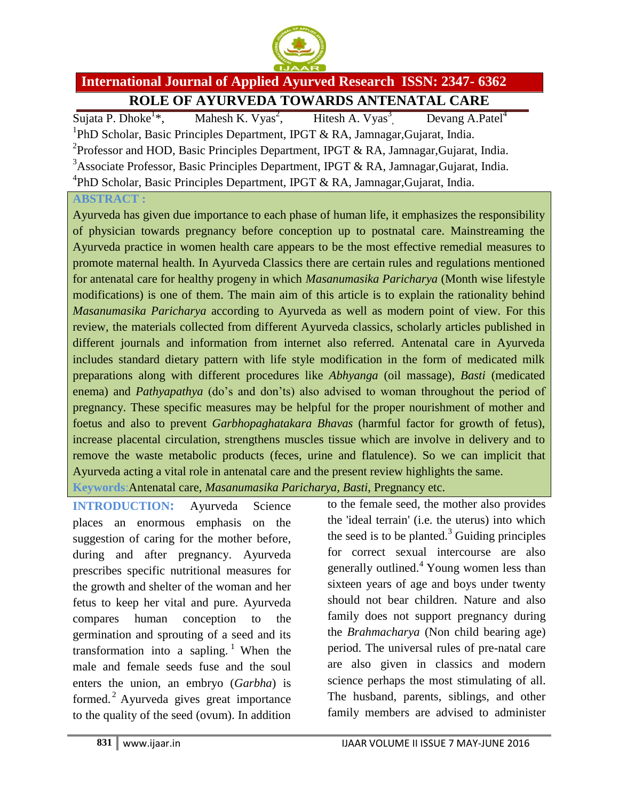

## **International Journal of Applied Ayurved Research ISSN: 2347- 6362 ROLE OF AYURVEDA TOWARDS ANTENATAL CARE**

 $Suiata P. Dhoke<sup>1</sup>*$ . Mahesh K. Vyas $^2$ . Hitesh A. Vyas<sup>3</sup> Devang A.Patel<sup>4</sup> <sup>1</sup>PhD Scholar, Basic Principles Department, IPGT & RA, Jamnagar, Gujarat, India. <sup>2</sup> Professor and HOD, Basic Principles Department, IPGT & RA, Jamnagar, Gujarat, India. <sup>3</sup>Associate Professor, Basic Principles Department, IPGT & RA, Jamnagar, Gujarat, India. <sup>4</sup>PhD Scholar, Basic Principles Department, IPGT & RA, Jamnagar, Gujarat, India.

## **ABSTRACT :**

Ayurveda has given due importance to each phase of human life, it emphasizes the responsibility of physician towards pregnancy before conception up to postnatal care. Mainstreaming the Ayurveda practice in women health care appears to be the most effective remedial measures to promote maternal health. In Ayurveda Classics there are certain rules and regulations mentioned for antenatal care for healthy progeny in which *Masanumasika Paricharya* (Month wise lifestyle modifications) is one of them. The main aim of this article is to explain the rationality behind *Masanumasika Paricharya* according to Ayurveda as well as modern point of view. For this review, the materials collected from different Ayurveda classics, scholarly articles published in different journals and information from internet also referred. Antenatal care in Ayurveda includes standard dietary pattern with life style modification in the form of medicated milk preparations along with different procedures like *Abhyanga* (oil massage), *Basti* (medicated enema) and *Pathyapathya* (do's and don'ts) also advised to woman throughout the period of pregnancy. These specific measures may be helpful for the proper nourishment of mother and foetus and also to prevent *Garbhopaghatakara Bhavas* (harmful factor for growth of fetus), increase placental circulation, strengthens muscles tissue which are involve in delivery and to remove the waste metabolic products (feces, urine and flatulence). So we can implicit that Ayurveda acting a vital role in antenatal care and the present review highlights the same.

**Keywords**:Antenatal care, *Masanumasika Paricharya, Basti*, Pregnancy etc.

**INTRODUCTION:** Ayurveda Science places an enormous emphasis on the suggestion of caring for the mother before, during and after pregnancy. Ayurveda prescribes specific nutritional measures for the growth and shelter of the woman and her fetus to keep her vital and pure. Ayurveda compares human conception to the germination and sprouting of a seed and its transformation into a sapling. <sup>1</sup> When the male and female seeds fuse and the soul enters the union, an embryo (*Garbha*) is formed. <sup>2</sup> Ayurveda gives great importance to the quality of the seed (ovum). In addition

to the female seed, the mother also provides the 'ideal terrain' (i.e. the uterus) into which the seed is to be planted. $3$  Guiding principles for correct sexual intercourse are also generally outlined.<sup>4</sup> Young women less than sixteen years of age and boys under twenty should not bear children. Nature and also family does not support pregnancy during the *Brahmacharya* (Non child bearing age) period. The universal rules of pre-natal care are also given in classics and modern science perhaps the most stimulating of all. The husband, parents, siblings, and other family members are advised to administer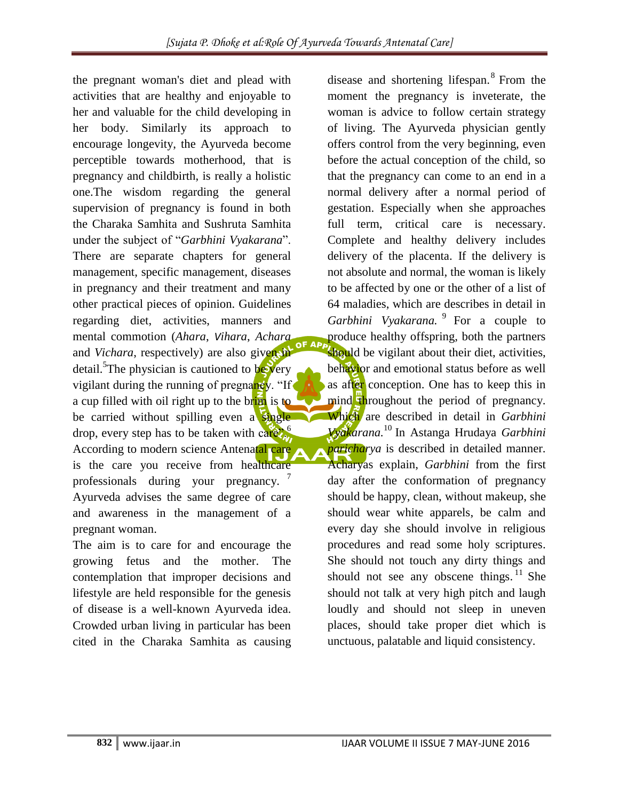the pregnant woman's diet and plead with activities that are healthy and enjoyable to her and valuable for the child developing in her body. Similarly its approach to encourage longevity, the Ayurveda become perceptible towards motherhood, that is pregnancy and childbirth, is really a holistic one.The wisdom regarding the general supervision of pregnancy is found in both the Charaka Samhita and Sushruta Samhita under the subject of "*Garbhini Vyakarana*". There are separate chapters for general management, specific management, diseases in pregnancy and their treatment and many other practical pieces of opinion. Guidelines regarding diet, activities, manners and mental commotion (*Ahara*, *Vihara*, *Achara* F AP and *Vichara*, respectively) are also given in detail.<sup>5</sup>The physician is cautioned to be very vigilant during the running of pregnancy. "If a cup filled with oil right up to the brim is to be carried without spilling even a single drop, every step has to be taken with  $\text{caré}$ . According to modern science Antenatal care is the care you receive from healthcare professionals during your pregnancy. Ayurveda advises the same degree of care and awareness in the management of a pregnant woman.

The aim is to care for and encourage the growing fetus and the mother. The contemplation that improper decisions and lifestyle are held responsible for the genesis of disease is a well-known Ayurveda idea. Crowded urban living in particular has been cited in the Charaka Samhita as causing

disease and shortening lifespan.<sup>8</sup> From the moment the pregnancy is inveterate, the woman is advice to follow certain strategy of living. The Ayurveda physician gently offers control from the very beginning, even before the actual conception of the child, so that the pregnancy can come to an end in a normal delivery after a normal period of gestation. Especially when she approaches full term, critical care is necessary. Complete and healthy delivery includes delivery of the placenta. If the delivery is not absolute and normal, the woman is likely to be affected by one or the other of a list of 64 maladies, which are describes in detail in Garbhini Vyakarana. <sup>9</sup> For a couple to produce healthy offspring, both the partners should be vigilant about their diet, activities, behavior and emotional status before as well as after conception. One has to keep this in mind throughout the period of pregnancy. Which are described in detail in *Garbhini Vyakarana.* <sup>10</sup> In Astanga Hrudaya *Garbhini paricharya* is described in detailed manner. Acharyas explain, *Garbhini* from the first day after the conformation of pregnancy should be happy, clean, without makeup, she should wear white apparels, be calm and every day she should involve in religious procedures and read some holy scriptures. She should not touch any dirty things and should not see any obscene things.  $11$  She should not talk at very high pitch and laugh loudly and should not sleep in uneven places, should take proper diet which is unctuous, palatable and liquid consistency.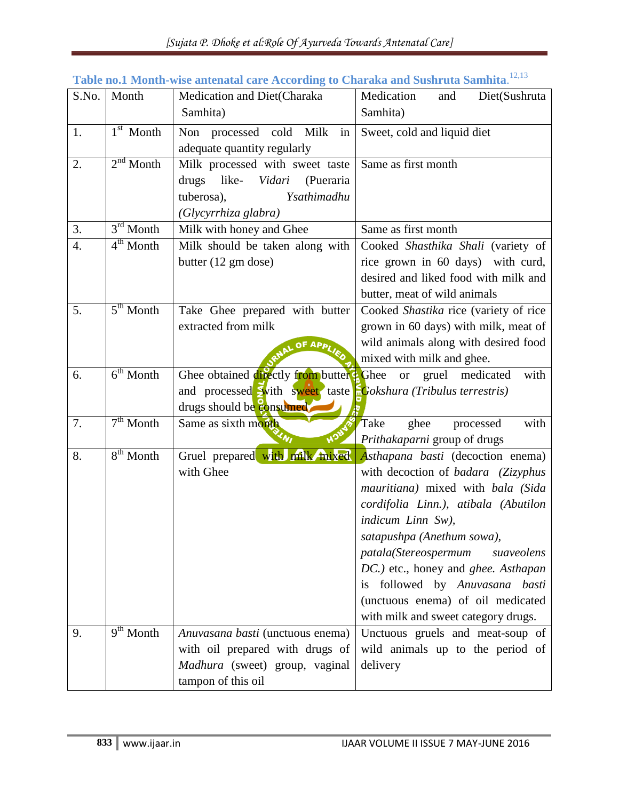| S.No. | Month                 | Medication and Diet(Charaka                                    | Medication<br>Diet(Sushruta<br>and                                |
|-------|-----------------------|----------------------------------------------------------------|-------------------------------------------------------------------|
|       |                       | Samhita)                                                       | Samhita)                                                          |
| 1.    | $1st$ Month           | Non processed cold<br>Milk<br>in                               | Sweet, cold and liquid diet                                       |
|       |                       | adequate quantity regularly                                    |                                                                   |
| 2.    | $2nd$ Month           | Milk processed with sweet taste                                | Same as first month                                               |
|       |                       | drugs<br>like-<br>Vidari<br>(Pueraria                          |                                                                   |
|       |                       | Ysathimadhu<br>tuberosa),                                      |                                                                   |
|       |                       | (Glycyrrhiza glabra)                                           |                                                                   |
| 3.    | $3rd$ Month           | Milk with honey and Ghee                                       | Same as first month                                               |
| 4.    | $4th$ Month           | Milk should be taken along with                                | Cooked Shasthika Shali (variety of                                |
|       |                       | butter (12 gm dose)                                            | rice grown in 60 days) with curd,                                 |
|       |                       |                                                                | desired and liked food with milk and                              |
|       |                       |                                                                | butter, meat of wild animals                                      |
| 5.    | $5th$ Month           | Take Ghee prepared with butter                                 | Cooked Shastika rice (variety of rice                             |
|       |                       | extracted from milk                                            | grown in 60 days) with milk, meat of                              |
|       |                       | OF APPL                                                        | wild animals along with desired food<br>mixed with milk and ghee. |
| 6.    | $6th$ Month           | Ghee obtained directly from butter Ghee                        | gruel medicated<br>with<br><b>or</b>                              |
|       |                       | and processed Swith sweet taste Gokshura (Tribulus terrestris) |                                                                   |
|       |                       | drugs should be consumed                                       |                                                                   |
| 7.    | $7th$ Month           | Same as sixth month                                            | Take<br>ghee<br>processed<br>with                                 |
|       |                       | HOL                                                            | Prithakaparni group of drugs                                      |
| 8.    | 8 <sup>th</sup> Month | Gruel prepared with milk mixed                                 | Asthapana basti (decoction enema)                                 |
|       |                       | with Ghee                                                      | with decoction of badara (Zizyphus                                |
|       |                       |                                                                | mauritiana) mixed with bala (Sida                                 |
|       |                       |                                                                | cordifolia Linn.), atibala (Abutilon                              |
|       |                       |                                                                | indicum Linn Sw),                                                 |
|       |                       |                                                                | satapushpa (Anethum sowa),                                        |
|       |                       |                                                                | patala(Stereospermum<br>suaveolens                                |
|       |                       |                                                                | DC.) etc., honey and ghee. Asthapan                               |
|       |                       |                                                                | is followed by Anuvasana basti                                    |
|       |                       |                                                                | (unctuous enema) of oil medicated                                 |
|       |                       |                                                                | with milk and sweet category drugs.                               |
| 9.    | $9th$ Month           | Anuvasana basti (unctuous enema)                               | Unctuous gruels and meat-soup of                                  |
|       |                       | with oil prepared with drugs of                                | wild animals up to the period of                                  |
|       |                       | Madhura (sweet) group, vaginal                                 | delivery                                                          |
|       |                       | tampon of this oil                                             |                                                                   |

## **Table no.1 Month-wise antenatal care According to Charaka and Sushruta Samhita**. 12,13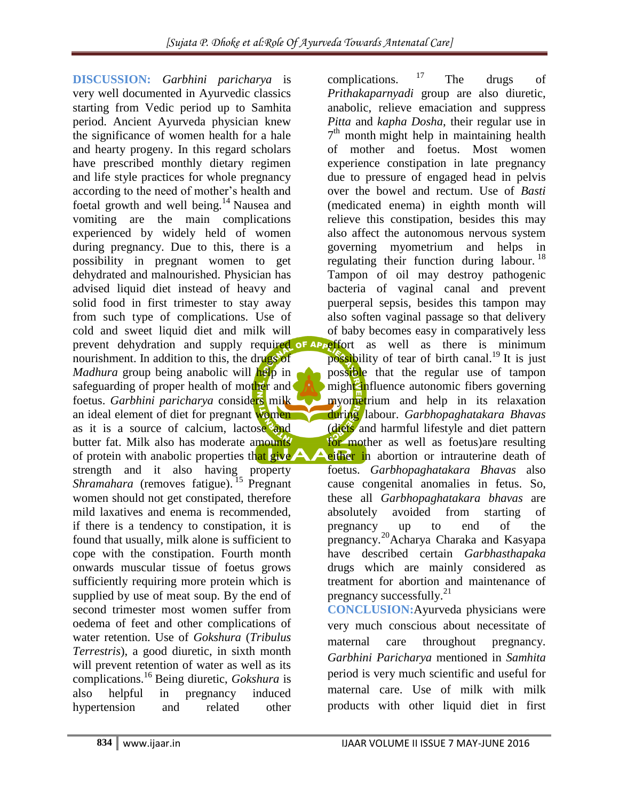**DISCUSSION:** *Garbhini paricharya* is very well documented in Ayurvedic classics starting from Vedic period up to Samhita period. Ancient Ayurveda physician knew the significance of women health for a hale and hearty progeny. In this regard scholars have prescribed monthly dietary regimen and life style practices for whole pregnancy according to the need of mother's health and foetal growth and well being.<sup>14</sup> Nausea and vomiting are the main complications experienced by widely held of women during pregnancy. Due to this, there is a possibility in pregnant women to get dehydrated and malnourished. Physician has advised liquid diet instead of heavy and solid food in first trimester to stay away from such type of complications. Use of cold and sweet liquid diet and milk will prevent dehydration and supply required of Apperfort as well as there is minimum nourishment. In addition to this, the drugs of *Madhura* group being anabolic will help in safeguarding of proper health of mother and foetus. *Garbhini paricharya* considers milk an ideal element of diet for pregnant women as it is a source of calcium, lactose and butter fat. Milk also has moderate amounts of protein with anabolic properties that give strength and it also having property *Shramahara* (removes fatigue). <sup>15</sup> Pregnant women should not get constipated, therefore mild laxatives and enema is recommended, if there is a tendency to constipation, it is found that usually, milk alone is sufficient to cope with the constipation. Fourth month onwards muscular tissue of foetus grows sufficiently requiring more protein which is supplied by use of meat soup. By the end of second trimester most women suffer from oedema of feet and other complications of water retention. Use of *Gokshura* (*Tribulus Terrestris*), a good diuretic, in sixth month will prevent retention of water as well as its complications.<sup>16</sup> Being diuretic, *Gokshura* is also helpful in pregnancy induced hypertension and related other

complications.  $17$  The drugs of *Prithakaparnyadi* group are also diuretic, anabolic, relieve emaciation and suppress *Pitta* and *kapha Dosha*, their regular use in 7<sup>th</sup> month might help in maintaining health of mother and foetus. Most women experience constipation in late pregnancy due to pressure of engaged head in pelvis over the bowel and rectum. Use of *Basti* (medicated enema) in eighth month will relieve this constipation, besides this may also affect the autonomous nervous system governing myometrium and helps in regulating their function during labour.  $18$ Tampon of oil may destroy pathogenic bacteria of vaginal canal and prevent puerperal sepsis, besides this tampon may also soften vaginal passage so that delivery of baby becomes easy in comparatively less

possibility of tear of birth canal.<sup>19</sup> It is just possible that the regular use of tampon might influence autonomic fibers governing myometrium and help in its relaxation during labour. *Garbhopaghatakara Bhavas* (diets and harmful lifestyle and diet pattern for mother as well as foetus) are resulting either in abortion or intrauterine death of

foetus. *Garbhopaghatakara Bhavas* also cause congenital anomalies in fetus. So, these all *Garbhopaghatakara bhavas* are absolutely avoided from starting of pregnancy up to end of the pregnancy. <sup>20</sup>Acharya Charaka and Kasyapa have described certain *Garbhasthapaka* drugs which are mainly considered as treatment for abortion and maintenance of pregnancy successfully.<sup>21</sup>

**CONCLUSION:**Ayurveda physicians were very much conscious about necessitate of maternal care throughout pregnancy. *Garbhini Paricharya* mentioned in *Samhita* period is very much scientific and useful for maternal care. Use of milk with milk products with other liquid diet in first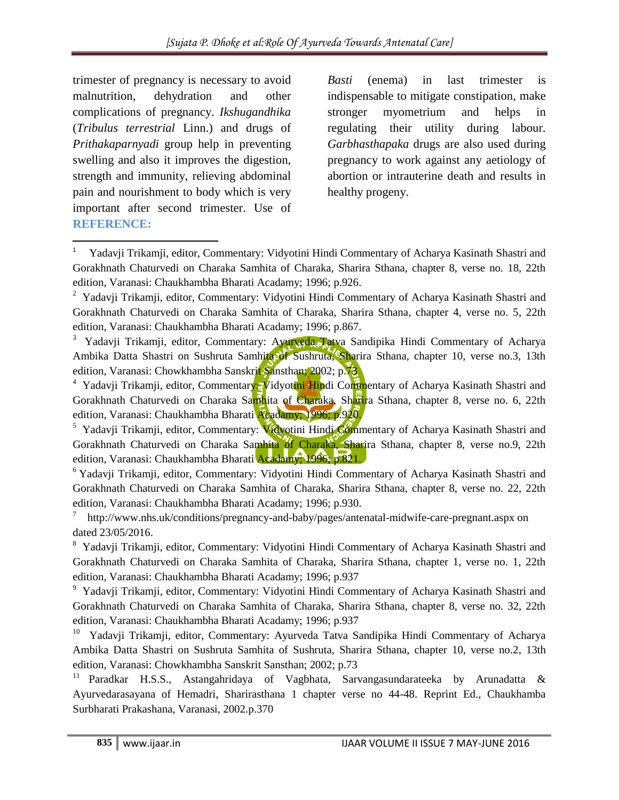trimester of pregnancy is necessary to avoid malnutrition, dehydration and other complications of pregnancy. *Ikshugandhika*  (*Tribulus terrestrial* Linn.) and drugs of *Prithakaparnyadi* group help in preventing swelling and also it improves the digestion, strength and immunity, relieving abdominal pain and nourishment to body which is very important after second trimester. Use of **REFERENCE:**

 $\overline{\phantom{a}}$ 

*Basti* (enema) in last trimester is indispensable to mitigate constipation, make stronger myometrium and helps in regulating their utility during labour. *Garbhasthapaka* drugs are also used during pregnancy to work against any aetiology of abortion or intrauterine death and results in healthy progeny.

<sup>1</sup> Yadavji Trikamji, editor, Commentary: Vidyotini Hindi Commentary of Acharya Kasinath Shastri and Gorakhnath Chaturvedi on Charaka Samhita of Charaka, Sharira Sthana, chapter 8, verse no. 18, 22th edition, Varanasi: Chaukhambha Bharati Acadamy; 1996; p.926.

<sup>&</sup>lt;sup>2</sup> Yadavji Trikamji, editor, Commentary: Vidyotini Hindi Commentary of Acharya Kasinath Shastri and Gorakhnath Chaturvedi on Charaka Samhita of Charaka, Sharira Sthana, chapter 4, verse no. 5, 22th edition, Varanasi: Chaukhambha Bharati Acadamy; 1996; p.867.

<sup>&</sup>lt;sup>3</sup> Yadavji Trikamji, editor, Commentary: Ayurveda Tatva Sandipika Hindi Commentary of Acharya Ambika Datta Shastri on Sushruta Samhita of Sushruta, Sharira Sthana, chapter 10, verse no.3, 13th edition, Varanasi: Chowkhambha Sanskrit Sansthan; 2002; p.73

<sup>&</sup>lt;sup>4</sup> Yadavji Trikamji, editor, Commentary: Vidyottni Hindi Commentary of Acharya Kasinath Shastri and Gorakhnath Chaturvedi on Charaka Samhita of Charaka, Sharira Sthana, chapter 8, verse no. 6, 22th edition, Varanasi: Chaukhambha Bharati Acadamy; 1996; p.920.

<sup>&</sup>lt;sup>5</sup> Yadavji Trikamji, editor, Commentary: Vidyotini Hindi Commentary of Acharya Kasinath Shastri and Gorakhnath Chaturvedi on Charaka Samhita of Charaka, Sharira Sthana, chapter 8, verse no.9, 22th edition, Varanasi: Chaukhambha Bharati Acadamy; 1996; p.821.

<sup>&</sup>lt;sup>6</sup> Yadavji Trikamji, editor, Commentary: Vidyotini Hindi Commentary of Acharya Kasinath Shastri and Gorakhnath Chaturvedi on Charaka Samhita of Charaka, Sharira Sthana, chapter 8, verse no. 22, 22th edition, Varanasi: Chaukhambha Bharati Acadamy; 1996; p.930.

<sup>7</sup> [http://www.nhs.uk/conditions/pregnancy-and-baby/pages/antenatal-midwife-care-pregnant.aspx on](http://www.nhs.uk/conditions/pregnancy-and-baby/pages/antenatal-midwife-care-pregnant.aspx%20on%20dated%2023/05/2016)  [dated 23/05/2016.](http://www.nhs.uk/conditions/pregnancy-and-baby/pages/antenatal-midwife-care-pregnant.aspx%20on%20dated%2023/05/2016)

<sup>&</sup>lt;sup>8</sup> Yadavji Trikamji, editor, Commentary: Vidyotini Hindi Commentary of Acharya Kasinath Shastri and Gorakhnath Chaturvedi on Charaka Samhita of Charaka, Sharira Sthana, chapter 1, verse no. 1, 22th edition, Varanasi: Chaukhambha Bharati Acadamy; 1996; p.937

<sup>&</sup>lt;sup>9</sup> Yadavji Trikamji, editor, Commentary: Vidyotini Hindi Commentary of Acharya Kasinath Shastri and Gorakhnath Chaturvedi on Charaka Samhita of Charaka, Sharira Sthana, chapter 8, verse no. 32, 22th edition, Varanasi: Chaukhambha Bharati Acadamy; 1996; p.937

<sup>10</sup>Yadavji Trikamji, editor, Commentary: Ayurveda Tatva Sandipika Hindi Commentary of Acharya Ambika Datta Shastri on Sushruta Samhita of Sushruta, Sharira Sthana, chapter 10, verse no.2, 13th edition, Varanasi: Chowkhambha Sanskrit Sansthan; 2002; p.73

<sup>11</sup> Paradkar H.S.S., Astangahridaya of Vagbhata, Sarvangasundarateeka by Arunadatta & Ayurvedarasayana of Hemadri, Sharirasthana 1 chapter verse no 44-48. Reprint Ed., Chaukhamba Surbharati Prakashana, Varanasi, 2002.p.370